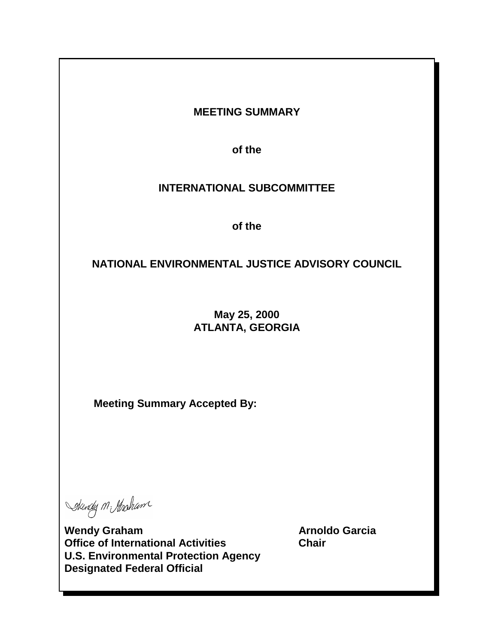# **MEETING SUMMARY**

**of the**

# **INTERNATIONAL SUBCOMMITTEE**

**of the**

# **NATIONAL ENVIRONMENTAL JUSTICE ADVISORY COUNCIL**

# **May 25, 2000 ATLANTA, GEORGIA**

**Meeting Summary Accepted By:** 

Skendy M Strosham

Wendy Graham **Arnoldo Garcia Arnoldo Garcia Office of International Activities Chair U.S. Environmental Protection Agency Designated Federal Official**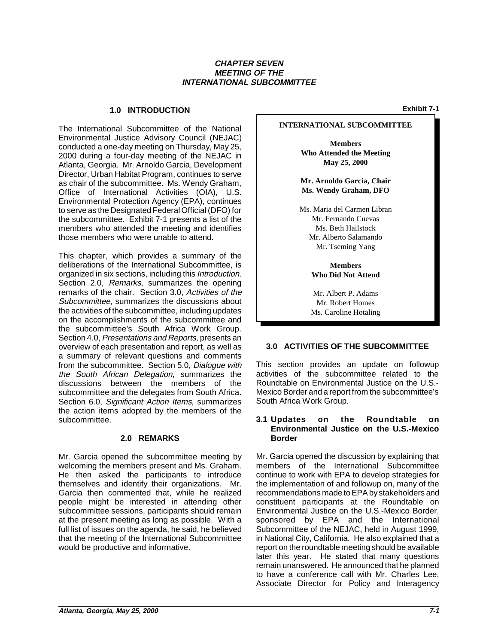#### **CHAPTER SEVEN MEETING OF THE INTERNATIONAL SUBCOMMITTEE**

# **1.0 INTRODUCTION Exhibit 7-1**

The International Subcommittee of the National Environmental Justice Advisory Council (NEJAC) conducted a one-day meeting on Thursday, May 25, 2000 during a four-day meeting of the NEJAC in Atlanta, Georgia. Mr. Arnoldo Garcia, Development Director, Urban Habitat Program, continues to serve as chair of the subcommittee. Ms. Wendy Graham, Office of International Activities (OIA), U.S. Environmental Protection Agency (EPA), continues to serve as the Designated Federal Official (DFO) for the subcommittee. Exhibit 7-1 presents a list of the members who attended the meeting and identifies those members who were unable to attend.

 remarks of the chair. Section 3.0, Activities of the This chapter, which provides a summary of the deliberations of the International Subcommittee, is organized in six sections, including this Introduction. Section 2.0, Remarks, summarizes the opening Subcommittee, summarizes the discussions about the activities of the subcommittee, including updates on the accomplishments of the subcommittee and the subcommittee's South Africa Work Group. Section 4.0, Presentations and Reports, presents an overview of each presentation and report, as well as a summary of relevant questions and comments from the subcommittee. Section 5.0, Dialogue with the South African Delegation, summarizes the discussions between the members of the subcommittee and the delegates from South Africa. Section 6.0, *Significant Action Items*, summarizes the action items adopted by the members of the subcommittee.

#### **2.0 REMARKS**

Mr. Garcia opened the subcommittee meeting by welcoming the members present and Ms. Graham. He then asked the participants to introduce themselves and identify their organizations. Mr. Garcia then commented that, while he realized people might be interested in attending other subcommittee sessions, participants should remain at the present meeting as long as possible. With a full list of issues on the agenda, he said, he believed that the meeting of the International Subcommittee would be productive and informative.

#### **INTERNATIONAL SUBCOMMITTEE**

**Members Who Attended the Meeting May 25, 2000**

**Mr. Arnoldo Garcia, Chair Ms. Wendy Graham, DFO**

Ms. Maria del Carmen Libran Mr. Fernando Cuevas Ms. Beth Hailstock Mr. Alberto Salamando Mr. Tseming Yang

> **Members Who Did Not Attend**

Mr. Albert P. Adams Mr. Robert Homes Ms. Caroline Hotaling

### **3.0 ACTIVITIES OF THE SUBCOMMITTEE**

This section provides an update on followup activities of the subcommittee related to the Roundtable on Environmental Justice on the U.S.- Mexico Border and a report from the subcommittee's South Africa Work Group.

#### **3.1 Updates on the Roundtable on Environmental Justice on the U.S.-Mexico Border**

Mr. Garcia opened the discussion by explaining that members of the International Subcommittee continue to work with EPA to develop strategies for the implementation of and followup on, many of the recommendations made to EPA by stakeholders and constituent participants at the Roundtable on Environmental Justice on the U.S.-Mexico Border, sponsored by EPA and the International Subcommittee of the NEJAC, held in August 1999, in National City, California. He also explained that a report on the roundtable meeting should be available later this year. He stated that many questions remain unanswered. He announced that he planned to have a conference call with Mr. Charles Lee, Associate Director for Policy and Interagency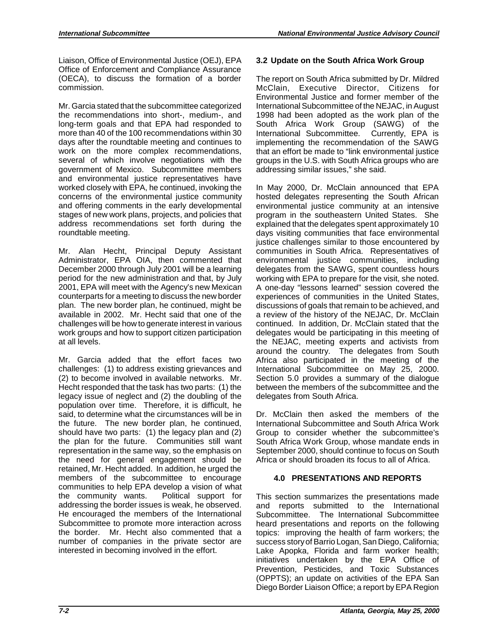Liaison, Office of Environmental Justice (OEJ), EPA Office of Enforcement and Compliance Assurance (OECA), to discuss the formation of a border commission.

Mr. Garcia stated that the subcommittee categorized the recommendations into short-, medium-, and long-term goals and that EPA had responded to more than 40 of the 100 recommendations within 30 days after the roundtable meeting and continues to work on the more complex recommendations, several of which involve negotiations with the government of Mexico. Subcommittee members and environmental justice representatives have worked closely with EPA, he continued, invoking the concerns of the environmental justice community and offering comments in the early developmental stages of new work plans, projects, and policies that address recommendations set forth during the roundtable meeting.

 2001, EPA will meet with the Agency's new Mexican plan. The new border plan, he continued, might be work groups and how to support citizen participation Mr. Alan Hecht, Principal Deputy Assistant Administrator, EPA OIA, then commented that December 2000 through July 2001 will be a learning period for the new administration and that, by July counterparts for a meeting to discuss the new border available in 2002. Mr. Hecht said that one of the challenges will be how to generate interest in various at all levels.

 the plan for the future. Communities still want members of the subcommittee to encourage addressing the border issues is weak, he observed. Mr. Garcia added that the effort faces two challenges: (1) to address existing grievances and (2) to become involved in available networks. Mr. Hecht responded that the task has two parts: (1) the legacy issue of neglect and (2) the doubling of the population over time. Therefore, it is difficult, he said, to determine what the circumstances will be in the future. The new border plan, he continued, should have two parts: (1) the legacy plan and (2) representation in the same way, so the emphasis on the need for general engagement should be retained, Mr. Hecht added. In addition, he urged the communities to help EPA develop a vision of what the community wants. Political support for He encouraged the members of the International Subcommittee to promote more interaction across the border. Mr. Hecht also commented that a number of companies in the private sector are interested in becoming involved in the effort.

# **3.2 Update on the South Africa Work Group**

The report on South Africa submitted by Dr. Mildred McClain, Executive Director, Citizens for Environmental Justice and former member of the International Subcommittee of the NEJAC, in August 1998 had been adopted as the work plan of the South Africa Work Group (SAWG) of the International Subcommittee. Currently, EPA is implementing the recommendation of the SAWG that an effort be made to "link environmental justice groups in the U.S. with South Africa groups who are addressing similar issues," she said.

In May 2000, Dr. McClain announced that EPA hosted delegates representing the South African environmental justice community at an intensive program in the southeastern United States. She explained that the delegates spent approximately 10 days visiting communities that face environmental justice challenges similar to those encountered by communities in South Africa. Representatives of environmental justice communities, including delegates from the SAWG, spent countless hours working with EPA to prepare for the visit, she noted. A one-day "lessons learned" session covered the experiences of communities in the United States, discussions of goals that remain to be achieved, and a review of the history of the NEJAC, Dr. McClain continued. In addition, Dr. McClain stated that the delegates would be participating in this meeting of the NEJAC, meeting experts and activists from around the country. The delegates from South Africa also participated in the meeting of the International Subcommittee on May 25, 2000. Section 5.0 provides a summary of the dialogue between the members of the subcommittee and the delegates from South Africa.

Dr. McClain then asked the members of the International Subcommittee and South Africa Work Group to consider whether the subcommittee's South Africa Work Group, whose mandate ends in September 2000, should continue to focus on South Africa or should broaden its focus to all of Africa.

## **4.0 PRESENTATIONS AND REPORTS**

 (OPPTS); an update on activities of the EPA San This section summarizes the presentations made and reports submitted to the International Subcommittee. The International Subcommittee heard presentations and reports on the following topics: improving the health of farm workers; the success story of Barrio Logan, San Diego, California; Lake Apopka, Florida and farm worker health; initiatives undertaken by the EPA Office of Prevention, Pesticides, and Toxic Substances Diego Border Liaison Office; a report by EPA Region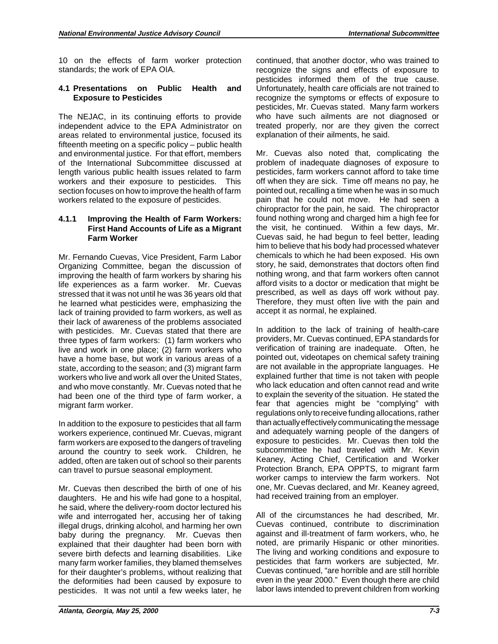10 on the effects of farm worker protection standards; the work of EPA OIA.

#### **4.1 Presentations on Public Health and Exposure to Pesticides**

 fifteenth meeting on a specific policy – public health The NEJAC, in its continuing efforts to provide independent advice to the EPA Administrator on areas related to environmental justice, focused its and environmental justice. For that effort, members of the International Subcommittee discussed at length various public health issues related to farm workers and their exposure to pesticides. This section focuses on how to improve the health of farm workers related to the exposure of pesticides.

#### **4.1.1 Improving the Health of Farm Workers: First Hand Accounts of Life as a Migrant Farm Worker**

 improving the health of farm workers by sharing his Mr. Fernando Cuevas, Vice President, Farm Labor Organizing Committee, began the discussion of life experiences as a farm worker. Mr. Cuevas stressed that it was not until he was 36 years old that he learned what pesticides were, emphasizing the lack of training provided to farm workers, as well as their lack of awareness of the problems associated with pesticides. Mr. Cuevas stated that there are three types of farm workers: (1) farm workers who live and work in one place; (2) farm workers who have a home base, but work in various areas of a state, according to the season; and (3) migrant farm workers who live and work all over the United States, and who move constantly. Mr. Cuevas noted that he had been one of the third type of farm worker, a migrant farm worker.

 farm workers are exposed to the dangers of traveling In addition to the exposure to pesticides that all farm workers experience, continued Mr. Cuevas, migrant around the country to seek work. Children, he added, often are taken out of school so their parents can travel to pursue seasonal employment.

 severe birth defects and learning disabilities. Like many farm worker families, they blamed themselves Mr. Cuevas then described the birth of one of his daughters. He and his wife had gone to a hospital, he said, where the delivery-room doctor lectured his wife and interrogated her, accusing her of taking illegal drugs, drinking alcohol, and harming her own baby during the pregnancy. Mr. Cuevas then explained that their daughter had been born with for their daughter's problems, without realizing that the deformities had been caused by exposure to pesticides. It was not until a few weeks later, he

continued, that another doctor, who was trained to recognize the signs and effects of exposure to pesticides informed them of the true cause. Unfortunately, health care officials are not trained to recognize the symptoms or effects of exposure to pesticides, Mr. Cuevas stated. Many farm workers who have such ailments are not diagnosed or treated properly, nor are they given the correct explanation of their ailments, he said.

Mr. Cuevas also noted that, complicating the problem of inadequate diagnoses of exposure to pesticides, farm workers cannot afford to take time off when they are sick. Time off means no pay, he pointed out, recalling a time when he was in so much pain that he could not move. He had seen a chiropractor for the pain, he said. The chiropractor found nothing wrong and charged him a high fee for the visit, he continued. Within a few days, Mr. Cuevas said, he had begun to feel better, leading him to believe that his body had processed whatever chemicals to which he had been exposed. His own story, he said, demonstrates that doctors often find nothing wrong, and that farm workers often cannot afford visits to a doctor or medication that might be prescribed, as well as days off work without pay. Therefore, they must often live with the pain and accept it as normal, he explained.

In addition to the lack of training of health-care providers, Mr. Cuevas continued, EPA standards for verification of training are inadequate. Often, he pointed out, videotapes on chemical safety training are not available in the appropriate languages. He explained further that time is not taken with people who lack education and often cannot read and write to explain the severity of the situation. He stated the fear that agencies might be "complying" with regulations only to receive funding allocations, rather than actually effectively communicating the message and adequately warning people of the dangers of exposure to pesticides. Mr. Cuevas then told the subcommittee he had traveled with Mr. Kevin Keaney, Acting Chief, Certification and Worker Protection Branch, EPA OPPTS, to migrant farm worker camps to interview the farm workers. Not one, Mr. Cuevas declared, and Mr. Keaney agreed, had received training from an employer.

All of the circumstances he had described, Mr. Cuevas continued, contribute to discrimination against and ill-treatment of farm workers, who, he noted, are primarily Hispanic or other minorities. The living and working conditions and exposure to pesticides that farm workers are subjected, Mr. Cuevas continued, "are horrible and are still horrible even in the year 2000." Even though there are child labor laws intended to prevent children from working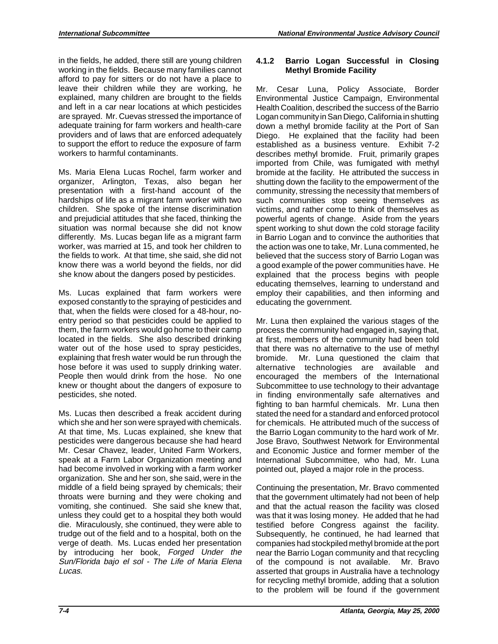and left in a car near locations at which pesticides in the fields, he added, there still are young children working in the fields. Because many families cannot afford to pay for sitters or do not have a place to leave their children while they are working, he explained, many children are brought to the fields are sprayed. Mr. Cuevas stressed the importance of adequate training for farm workers and health-care providers and of laws that are enforced adequately to support the effort to reduce the exposure of farm workers to harmful contaminants.

Ms. Maria Elena Lucas Rochel, farm worker and organizer, Arlington, Texas, also began her presentation with a first-hand account of the hardships of life as a migrant farm worker with two children. She spoke of the intense discrimination and prejudicial attitudes that she faced, thinking the situation was normal because she did not know differently. Ms. Lucas began life as a migrant farm worker, was married at 15, and took her children to the fields to work. At that time, she said, she did not know there was a world beyond the fields, nor did she know about the dangers posed by pesticides.

 water out of the hose used to spray pesticides, Ms. Lucas explained that farm workers were exposed constantly to the spraying of pesticides and that, when the fields were closed for a 48-hour, noentry period so that pesticides could be applied to them, the farm workers would go home to their camp located in the fields. She also described drinking explaining that fresh water would be run through the hose before it was used to supply drinking water. People then would drink from the hose. No one knew or thought about the dangers of exposure to pesticides, she noted.

Ms. Lucas then described a freak accident during which she and her son were sprayed with chemicals. At that time, Ms. Lucas explained, she knew that pesticides were dangerous because she had heard Mr. Cesar Chavez, leader, United Farm Workers, speak at a Farm Labor Organization meeting and had become involved in working with a farm worker organization. She and her son, she said, were in the middle of a field being sprayed by chemicals; their throats were burning and they were choking and vomiting, she continued. She said she knew that, unless they could get to a hospital they both would die. Miraculously, she continued, they were able to trudge out of the field and to a hospital, both on the verge of death. Ms. Lucas ended her presentation by introducing her book, Forged Under the Sun/Florida bajo el sol - The Life of Maria Elena Lucas.

# **4.1.2 Barrio Logan Successful in Closing Methyl Bromide Facility**

Mr. Cesar Luna, Policy Associate, Border Environmental Justice Campaign, Environmental Health Coalition, described the success of the Barrio Logan community in San Diego, California in shutting down a methyl bromide facility at the Port of San Diego. He explained that the facility had been established as a business venture. Exhibit 7-2 describes methyl bromide. Fruit, primarily grapes imported from Chile, was fumigated with methyl bromide at the facility. He attributed the success in shutting down the facility to the empowerment of the community, stressing the necessity that members of such communities stop seeing themselves as victims, and rather come to think of themselves as powerful agents of change. Aside from the years spent working to shut down the cold storage facility in Barrio Logan and to convince the authorities that the action was one to take, Mr. Luna commented, he believed that the success story of Barrio Logan was a good example of the power communities have. He explained that the process begins with people educating themselves, learning to understand and employ their capabilities, and then informing and educating the government.

 fighting to ban harmful chemicals. Mr. Luna then Mr. Luna then explained the various stages of the process the community had engaged in, saying that, at first, members of the community had been told that there was no alternative to the use of methyl bromide. Mr. Luna questioned the claim that alternative technologies are available and encouraged the members of the International Subcommittee to use technology to their advantage in finding environmentally safe alternatives and stated the need for a standard and enforced protocol for chemicals. He attributed much of the success of the Barrio Logan community to the hard work of Mr. Jose Bravo, Southwest Network for Environmental and Economic Justice and former member of the International Subcommittee, who had, Mr. Luna pointed out, played a major role in the process.

Continuing the presentation, Mr. Bravo commented that the government ultimately had not been of help and that the actual reason the facility was closed was that it was losing money. He added that he had testified before Congress against the facility. Subsequently, he continued, he had learned that companies had stockpiled methyl bromide at the port near the Barrio Logan community and that recycling of the compound is not available. Mr. Bravo asserted that groups in Australia have a technology for recycling methyl bromide, adding that a solution to the problem will be found if the government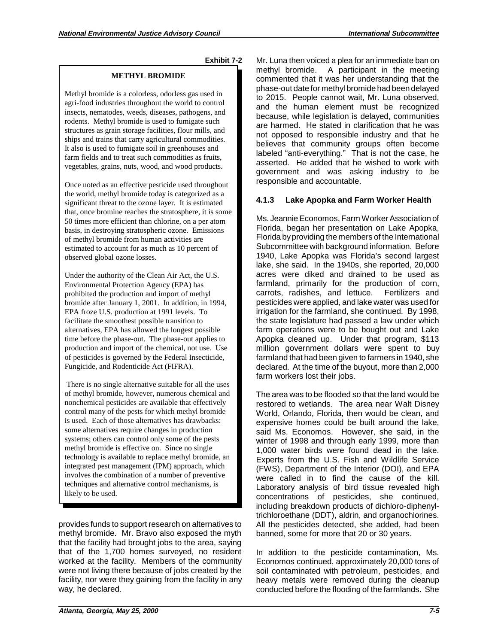**Exhibit 7-2** 

### **METHYL BROMIDE**

Methyl bromide is a colorless, odorless gas used in agri-food industries throughout the world to control insects, nematodes, weeds, diseases, pathogens, and rodents. Methyl bromide is used to fumigate such structures as grain storage facilities, flour mills, and ships and trains that carry agricultural commodities. It also is used to fumigate soil in greenhouses and farm fields and to treat such commodities as fruits, vegetables, grains, nuts, wood, and wood products.

Once noted as an effective pesticide used throughout the world, methyl bromide today is categorized as a significant threat to the ozone layer. It is estimated that, once bromine reaches the stratosphere, it is some 50 times more efficient than chlorine, on a per atom basis, in destroying stratospheric ozone. Emissions of methyl bromide from human activities are estimated to account for as much as 10 percent of observed global ozone losses.

Under the authority of the Clean Air Act, the U.S. Environmental Protection Agency (EPA) has prohibited the production and import of methyl bromide after January 1, 2001. In addition, in 1994, EPA froze U.S. production at 1991 levels. To facilitate the smoothest possible transition to alternatives, EPA has allowed the longest possible time before the phase-out. The phase-out applies to production and import of the chemical, not use. Use of pesticides is governed by the Federal Insecticide, Fungicide, and Rodenticide Act (FIFRA).

 There is no single alternative suitable for all the uses of methyl bromide, however, numerous chemical and nonchemical pesticides are available that effectively control many of the pests for which methyl bromide is used. Each of those alternatives has drawbacks: some alternatives require changes in production systems; others can control only some of the pests methyl bromide is effective on. Since no single technology is available to replace methyl bromide, an integrated pest management (IPM) approach, which involves the combination of a number of preventive techniques and alternative control mechanisms, is likely to be used.

provides funds to support research on alternatives to methyl bromide. Mr. Bravo also exposed the myth that the facility had brought jobs to the area, saying that of the 1,700 homes surveyed, no resident worked at the facility. Members of the community were not living there because of jobs created by the facility, nor were they gaining from the facility in any way, he declared.

Mr. Luna then voiced a plea for an immediate ban on methyl bromide. A participant in the meeting commented that it was her understanding that the phase-out date for methyl bromide had been delayed to 2015. People cannot wait, Mr. Luna observed, and the human element must be recognized because, while legislation is delayed, communities are harmed. He stated in clarification that he was not opposed to responsible industry and that he believes that community groups often become labeled "anti-everything." That is not the case, he asserted. He added that he wished to work with government and was asking industry to be responsible and accountable.

## **4.1.3 Lake Apopka and Farm Worker Health**

 lake, she said. In the 1940s, she reported, 20,000 Ms. Jeannie Economos, Farm Worker Association of Florida, began her presentation on Lake Apopka, Florida byproviding the members of the International Subcommittee with background information. Before 1940, Lake Apopka was Florida's second largest acres were diked and drained to be used as farmland, primarily for the production of corn, carrots, radishes, and lettuce. Fertilizers and pesticides were applied, and lake water was used for irrigation for the farmland, she continued. By 1998, the state legislature had passed a law under which farm operations were to be bought out and Lake Apopka cleaned up. Under that program, \$113 million government dollars were spent to buy farmland that had been given to farmers in 1940, she declared. At the time of the buyout, more than 2,000 farm workers lost their jobs.

 restored to wetlands. The area near Walt Disney said Ms. Economos. However, she said, in the banned, some for more that 20 or 30 years. The area was to be flooded so that the land would be World, Orlando, Florida, then would be clean, and expensive homes could be built around the lake, winter of 1998 and through early 1999, more than 1,000 water birds were found dead in the lake. Experts from the U.S. Fish and Wildlife Service (FWS), Department of the Interior (DOI), and EPA were called in to find the cause of the kill. Laboratory analysis of bird tissue revealed high concentrations of pesticides, she continued, including breakdown products of dichloro-diphenyltrichloroethane (DDT), aldrin, and organochlorines. All the pesticides detected, she added, had been

In addition to the pesticide contamination, Ms. Economos continued, approximately 20,000 tons of soil contaminated with petroleum, pesticides, and heavy metals were removed during the cleanup conducted before the flooding of the farmlands. She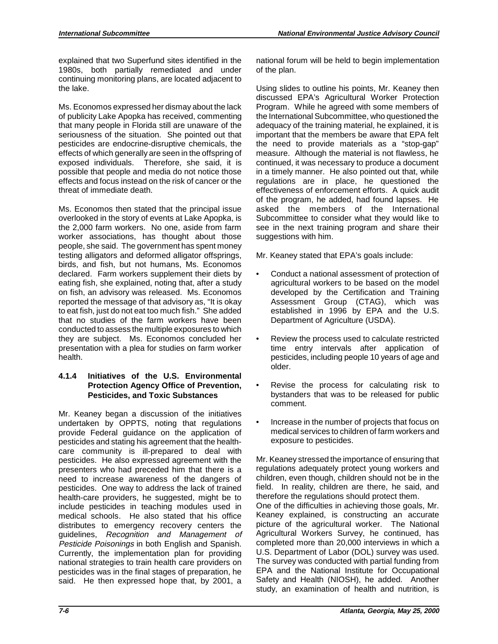explained that two Superfund sites identified in the 1980s, both partially remediated and under continuing monitoring plans, are located adjacent to the lake.

 effects and focus instead on the risk of cancer or the Ms. Economos expressed her dismay about the lack of publicity Lake Apopka has received, commenting that many people in Florida still are unaware of the seriousness of the situation. She pointed out that pesticides are endocrine-disruptive chemicals, the effects of which generally are seen in the offspring of exposed individuals. Therefore, she said, it is possible that people and media do not notice those threat of immediate death.

 to eat fish, just do not eat too much fish." She added Ms. Economos then stated that the principal issue overlooked in the story of events at Lake Apopka, is the 2,000 farm workers. No one, aside from farm worker associations, has thought about those people, she said. The government has spent money testing alligators and deformed alligator offsprings, birds, and fish, but not humans, Ms. Economos declared. Farm workers supplement their diets by eating fish, she explained, noting that, after a study on fish, an advisory was released. Ms. Economos reported the message of that advisory as, "It is okay that no studies of the farm workers have been conducted to assess the multiple exposures to which they are subject. Ms. Economos concluded her presentation with a plea for studies on farm worker health.

## **4.1.4 Initiatives of the U.S. Environmental Protection Agency Office of Prevention, Pesticides, and Toxic Substances**

 pesticides was in the final stages of preparation, he said. He then expressed hope that, by 2001, a Mr. Keaney began a discussion of the initiatives undertaken by OPPTS, noting that regulations provide Federal guidance on the application of pesticides and stating his agreement that the healthcare community is ill-prepared to deal with pesticides. He also expressed agreement with the presenters who had preceded him that there is a need to increase awareness of the dangers of pesticides. One way to address the lack of trained health-care providers, he suggested, might be to include pesticides in teaching modules used in medical schools. He also stated that his office distributes to emergency recovery centers the guidelines, Recognition and Management of Pesticide Poisonings in both English and Spanish. Currently, the implementation plan for providing national strategies to train health care providers on

national forum will be held to begin implementation of the plan.

 of the program, he added, had found lapses. He asked the members of the International suggestions with him. Using slides to outline his points, Mr. Keaney then discussed EPA's Agricultural Worker Protection Program. While he agreed with some members of the International Subcommittee, who questioned the adequacy of the training material, he explained, it is important that the members be aware that EPA felt the need to provide materials as a "stop-gap" measure. Although the material is not flawless, he continued, it was necessary to produce a document in a timely manner. He also pointed out that, while regulations are in place, he questioned the effectiveness of enforcement efforts. A quick audit Subcommittee to consider what they would like to see in the next training program and share their

Mr. Keaney stated that EPA's goals include:

- Conduct a national assessment of protection of agricultural workers to be based on the model developed by the Certification and Training Assessment Group (CTAG), which was established in 1996 by EPA and the U.S. Department of Agriculture (USDA).
- Review the process used to calculate restricted time entry intervals after application of pesticides, including people 10 years of age and older.
- Revise the process for calculating risk to bystanders that was to be released for public comment.
- Increase in the number of projects that focus on medical services to children of farm workers and exposure to pesticides.

Mr. Keaney stressed the importance of ensuring that regulations adequately protect young workers and children, even though, children should not be in the field. In reality, children are there, he said, and therefore the regulations should protect them.

One of the difficulties in achieving those goals, Mr. Keaney explained, is constructing an accurate picture of the agricultural worker. The National Agricultural Workers Survey, he continued, has completed more than 20,000 interviews in which a U.S. Department of Labor (DOL) survey was used. The survey was conducted with partial funding from EPA and the National Institute for Occupational Safety and Health (NIOSH), he added. Another study, an examination of health and nutrition, is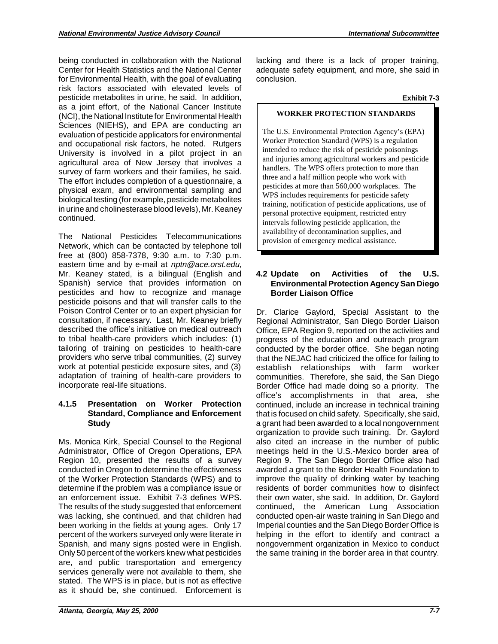Center for Health Statistics and the National Center being conducted in collaboration with the National for Environmental Health, with the goal of evaluating risk factors associated with elevated levels of pesticide metabolites in urine, he said. In addition, as a joint effort, of the National Cancer Institute (NCI), the National Institute for Environmental Health Sciences (NIEHS), and EPA are conducting an evaluation of pesticide applicators for environmental and occupational risk factors, he noted. Rutgers University is involved in a pilot project in an agricultural area of New Jersey that involves a survey of farm workers and their families, he said. The effort includes completion of a questionnaire, a physical exam, and environmental sampling and biological testing (for example, pesticide metabolites in urine and cholinesterase blood levels), Mr. Keaney continued.

The National Pesticides Telecommunications Network, which can be contacted by telephone toll free at (800) 858-7378, 9:30 a.m. to 7:30 p.m. eastern time and by e-mail at nptn@ace.orst.edu, Mr. Keaney stated, is a bilingual (English and Spanish) service that provides information on pesticides and how to recognize and manage pesticide poisons and that will transfer calls to the Poison Control Center or to an expert physician for consultation, if necessary. Last, Mr. Keaney briefly described the office's initiative on medical outreach to tribal health-care providers which includes: (1) tailoring of training on pesticides to health-care providers who serve tribal communities, (2) survey work at potential pesticide exposure sites, and (3) adaptation of training of health-care providers to incorporate real-life situations.

### **4.1.5 Presentation on Worker Protection Standard, Compliance and Enforcement Study**

Ms. Monica Kirk, Special Counsel to the Regional Administrator, Office of Oregon Operations, EPA Region 10, presented the results of a survey conducted in Oregon to determine the effectiveness of the Worker Protection Standards (WPS) and to determine if the problem was a compliance issue or an enforcement issue. Exhibit 7-3 defines WPS. The results of the study suggested that enforcement was lacking, she continued, and that children had been working in the fields at young ages. Only 17 percent of the workers surveyed only were literate in Spanish, and many signs posted were in English. Only 50 percent of the workers knew what pesticides are, and public transportation and emergency services generally were not available to them, she stated. The WPS is in place, but is not as effective as it should be, she continued. Enforcement is

lacking and there is a lack of proper training, adequate safety equipment, and more, she said in conclusion.

#### **Exhibit 7-3**

### **WORKER PROTECTION STANDARDS**

The U.S. Environmental Protection Agency's (EPA) Worker Protection Standard (WPS) is a regulation intended to reduce the risk of pesticide poisonings and injuries among agricultural workers and pesticide handlers. The WPS offers protection to more than three and a half million people who work with pesticides at more than 560,000 workplaces. The WPS includes requirements for pesticide safety training, notification of pesticide applications, use of personal protective equipment, restricted entry intervals following pesticide application, the availability of decontamination supplies, and provision of emergency medical assistance.

## **4.2 Update on Activities of the U.S. Environmental Protection Agency San Diego Border Liaison Office**

 that the NEJAC had criticized the office for failing to helping in the effort to identify and contract a Dr. Clarice Gaylord, Special Assistant to the Regional Administrator, San Diego Border Liaison Office, EPA Region 9, reported on the activities and progress of the education and outreach program conducted by the border office. She began noting establish relationships with farm worker communities. Therefore, she said, the San Diego Border Office had made doing so a priority. The office's accomplishments in that area, she continued, include an increase in technical training that is focused on child safety. Specifically, she said, a grant had been awarded to a local nongovernment organization to provide such training. Dr. Gaylord also cited an increase in the number of public meetings held in the U.S.-Mexico border area of Region 9. The San Diego Border Office also had awarded a grant to the Border Health Foundation to improve the quality of drinking water by teaching residents of border communities how to disinfect their own water, she said. In addition, Dr. Gaylord continued, the American Lung Association conducted open-air waste training in San Diego and Imperial counties and the San Diego Border Office is nongovernment organization in Mexico to conduct the same training in the border area in that country.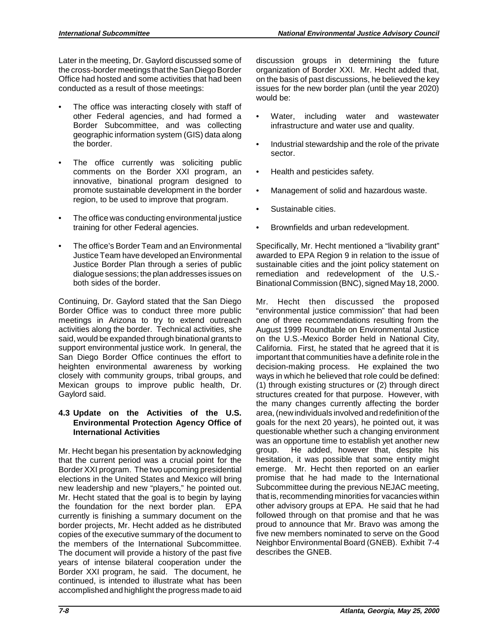Later in the meeting, Dr. Gaylord discussed some of the cross-border meetings that the San Diego Border Office had hosted and some activities that had been conducted as a result of those meetings:

- The office was interacting closely with staff of other Federal agencies, and had formed a Border Subcommittee, and was collecting geographic information system (GIS) data along the border.
- The office currently was soliciting public comments on the Border XXI program, an innovative, binational program designed to promote sustainable development in the border region, to be used to improve that program.
- The office was conducting environmental justice training for other Federal agencies.
- The office's Border Team and an Environmental Justice Team have developed an Environmental Justice Border Plan through a series of public dialogue sessions; the plan addresses issues on both sides of the border.

Continuing, Dr. Gaylord stated that the San Diego Border Office was to conduct three more public meetings in Arizona to try to extend outreach activities along the border. Technical activities, she said, would be expanded through binational grants to support environmental justice work. In general, the San Diego Border Office continues the effort to heighten environmental awareness by working closely with community groups, tribal groups, and Mexican groups to improve public health, Dr. Gaylord said.

## **4.3 Update on the Activities of the U.S. Environmental Protection Agency Office of International Activities**

 Border XXI program. The two upcoming presidential Mr. Hecht began his presentation by acknowledging that the current period was a crucial point for the elections in the United States and Mexico will bring new leadership and new "players," he pointed out. Mr. Hecht stated that the goal is to begin by laying the foundation for the next border plan. EPA currently is finishing a summary document on the border projects, Mr. Hecht added as he distributed copies of the executive summary of the document to the members of the International Subcommittee. The document will provide a history of the past five years of intense bilateral cooperation under the Border XXI program, he said. The document, he continued, is intended to illustrate what has been accomplished and highlight the progress made to aid discussion groups in determining the future organization of Border XXI. Mr. Hecht added that, on the basis of past discussions, he believed the key issues for the new border plan (until the year 2020) would be:

- Water, including water and wastewater infrastructure and water use and quality.
- Industrial stewardship and the role of the private sector.
- Health and pesticides safety.
- Management of solid and hazardous waste.
- Sustainable cities.
- Brownfields and urban redevelopment.

Specifically, Mr. Hecht mentioned a "livability grant" awarded to EPA Region 9 in relation to the issue of sustainable cities and the joint policy statement on remediation and redevelopment of the U.S.- Binational Commission (BNC), signed May 18, 2000.

 Mr. Hecht then discussed the proposed proud to announce that Mr. Bravo was among the "environmental justice commission" that had been one of three recommendations resulting from the August 1999 Roundtable on Environmental Justice on the U.S.-Mexico Border held in National City, California. First, he stated that he agreed that it is important that communities have a definite role in the decision-making process. He explained the two ways in which he believed that role could be defined: (1) through existing structures or (2) through direct structures created for that purpose. However, with the many changes currently affecting the border area, (new individuals involved and redefinition of the goals for the next 20 years), he pointed out, it was questionable whether such a changing environment was an opportune time to establish yet another new group. He added, however that, despite his hesitation, it was possible that some entity might emerge. Mr. Hecht then reported on an earlier promise that he had made to the International Subcommittee during the previous NEJAC meeting, that is, recommending minorities for vacancies within other advisory groups at EPA. He said that he had followed through on that promise and that he was five new members nominated to serve on the Good Neighbor Environmental Board (GNEB). Exhibit 7-4 describes the GNEB.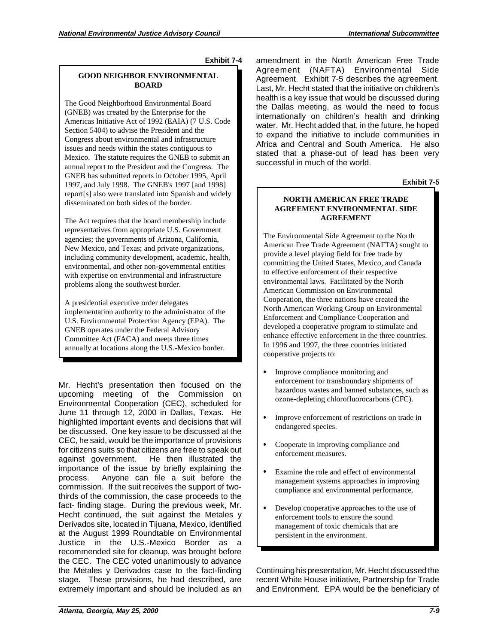**Exhibit 7-4** 

### **GOOD NEIGHBOR ENVIRONMENTAL BOARD**

The Good Neighborhood Environmental Board (GNEB) was created by the Enterprise for the Americas Initiative Act of 1992 (EAIA) (7 U.S. Code Section 5404) to advise the President and the Congress about environmental and infrastructure issues and needs within the states contiguous to Mexico. The statute requires the GNEB to submit an annual report to the President and the Congress. The GNEB has submitted reports in October 1995, April 1997, and July 1998. The GNEB's 1997 [and 1998] report[s] also were translated into Spanish and widely disseminated on both sides of the border.

problems along the southwest border. The Act requires that the board membership include representatives from appropriate U.S. Government agencies; the governments of Arizona, California, New Mexico, and Texas; and private organizations, including community development, academic, health, environmental, and other non-governmental entities with expertise on environmental and infrastructure

A presidential executive order delegates. implementation authority to the administrator of the U.S. Environmental Protection Agency (EPA). The GNEB operates under the Federal Advisory Committee Act (FACA) and meets three times annually at locations along the U.S.-Mexico border.

 commission. If the suit receives the support of two-Mr. Hecht's presentation then focused on the upcoming meeting of the Commission on Environmental Cooperation (CEC), scheduled for June 11 through 12, 2000 in Dallas, Texas. He highlighted important events and decisions that will be discussed. One key issue to be discussed at the CEC, he said, would be the importance of provisions for citizens suits so that citizens are free to speak out against government. He then illustrated the importance of the issue by briefly explaining the process. Anyone can file a suit before the thirds of the commission, the case proceeds to the fact- finding stage. During the previous week, Mr. Hecht continued, the suit against the Metales y Derivados site, located in Tijuana, Mexico, identified at the August 1999 Roundtable on Environmental Justice in the U.S.-Mexico Border as a recommended site for cleanup, was brought before the CEC. The CEC voted unanimously to advance the Metales y Derivados case to the fact-finding stage. These provisions, he had described, are extremely important and should be included as an

 Agreement. Exhibit 7-5 describes the agreement. water. Mr. Hecht added that, in the future, he hoped Africa and Central and South America. He also amendment in the North American Free Trade Agreement (NAFTA) Environmental Side Last, Mr. Hecht stated that the initiative on children's health is a key issue that would be discussed during the Dallas meeting, as would the need to focus internationally on children's health and drinking to expand the initiative to include communities in stated that a phase-out of lead has been very successful in much of the world.

**Exhibit 7-5** 

#### **NORTH AMERICAN FREE TRADE AGREEMENT ENVIRONMENTAL SIDE AGREEMENT**

The Environmental Side Agreement to the North American Free Trade Agreement (NAFTA) sought to provide a level playing field for free trade by committing the United States, Mexico, and Canada to effective enforcement of their respective environmental laws. Facilitated by the North American Commission on Environmental Cooperation, the three nations have created the North American Working Group on Environmental Enforcement and Compliance Cooperation and developed a cooperative program to stimulate and enhance effective enforcement in the three countries. In 1996 and 1997, the three countries initiated cooperative projects to:

- Improve compliance monitoring and enforcement for transboundary shipments of hazardous wastes and banned substances, such as ozone-depleting chlorofluorocarbons (CFC).
- Improve enforcement of restrictions on trade in endangered species.
- Cooperate in improving compliance and enforcement measures.
- Examine the role and effect of environmental management systems approaches in improving compliance and environmental performance.
- Develop cooperative approaches to the use of enforcement tools to ensure the sound management of toxic chemicals that are persistent in the environment.

Continuing his presentation, Mr. Hecht discussed the recent White House initiative, Partnership for Trade and Environment. EPA would be the beneficiary of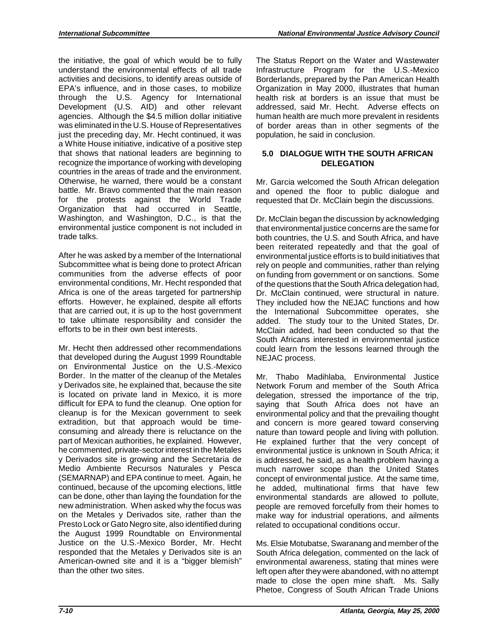through the U.S. Agency for International the initiative, the goal of which would be to fully understand the environmental effects of all trade activities and decisions, to identify areas outside of EPA's influence, and in those cases, to mobilize Development (U.S. AID) and other relevant agencies. Although the \$4.5 million dollar initiative was eliminated in the U.S. House of Representatives just the preceding day, Mr. Hecht continued, it was a White House initiative, indicative of a positive step that shows that national leaders are beginning to recognize the importance of working with developing countries in the areas of trade and the environment. Otherwise, he warned, there would be a constant battle. Mr. Bravo commented that the main reason for the protests against the World Trade Organization that had occurred in Seattle, Washington, and Washington, D.C., is that the environmental justice component is not included in trade talks.

 After he was asked by a member of the International Subcommittee what is being done to protect African communities from the adverse effects of poor environmental conditions, Mr. Hecht responded that Africa is one of the areas targeted for partnership efforts. However, he explained, despite all efforts that are carried out, it is up to the host government to take ultimate responsibility and consider the efforts to be in their own best interests.

 responded that the Metales y Derivados site is an Mr. Hecht then addressed other recommendations that developed during the August 1999 Roundtable on Environmental Justice on the U.S.-Mexico Border. In the matter of the cleanup of the Metales y Derivados site, he explained that, because the site is located on private land in Mexico, it is more difficult for EPA to fund the cleanup. One option for cleanup is for the Mexican government to seek extradition, but that approach would be timeconsuming and already there is reluctance on the part of Mexican authorities, he explained. However, he commented, private-sector interest in the Metales y Derivados site is growing and the Secretaria de Medio Ambiente Recursos Naturales y Pesca (SEMARNAP) and EPA continue to meet. Again, he continued, because of the upcoming elections, little can be done, other than laying the foundation for the new administration. When asked why the focus was on the Metales y Derivados site, rather than the Presto Lock or Gato Negro site, also identified during the August 1999 Roundtable on Environmental Justice on the U.S.-Mexico Border, Mr. Hecht American-owned site and it is a "bigger blemish" than the other two sites.

The Status Report on the Water and Wastewater Infrastructure Program for the U.S.-Mexico Borderlands, prepared by the Pan American Health Organization in May 2000, illustrates that human health risk at borders is an issue that must be addressed, said Mr. Hecht. Adverse effects on human health are much more prevalent in residents of border areas than in other segments of the population, he said in conclusion.

## **5.0 DIALOGUE WITH THE SOUTH AFRICAN DELEGATION**

Mr. Garcia welcomed the South African delegation and opened the floor to public dialogue and requested that Dr. McClain begin the discussions.

Dr. McClain began the discussion by acknowledging that environmental justice concerns are the same for both countries, the U.S. and South Africa, and have been reiterated repeatedly and that the goal of environmental justice efforts is to build initiatives that rely on people and communities, rather than relying on funding from government or on sanctions. Some of the questions that the South Africa delegation had, Dr. McClain continued, were structural in nature. They included how the NEJAC functions and how the International Subcommittee operates, she added. The study tour to the United States, Dr. McClain added, had been conducted so that the South Africans interested in environmental justice could learn from the lessons learned through the NEJAC process.

related to occupational conditions occur. Mr. Thabo Madihlaba, Environmental Justice Network Forum and member of the South Africa delegation, stressed the importance of the trip, saying that South Africa does not have an environmental policy and that the prevailing thought and concern is more geared toward conserving nature than toward people and living with pollution. He explained further that the very concept of environmental justice is unknown in South Africa; it is addressed, he said, as a health problem having a much narrower scope than the United States concept of environmental justice. At the same time, he added, multinational firms that have few environmental standards are allowed to pollute, people are removed forcefully from their homes to make way for industrial operations, and ailments

Ms. Elsie Motubatse, Swaranang and member of the South Africa delegation, commented on the lack of environmental awareness, stating that mines were left open after they were abandoned, with no attempt made to close the open mine shaft. Ms. Sally Phetoe, Congress of South African Trade Unions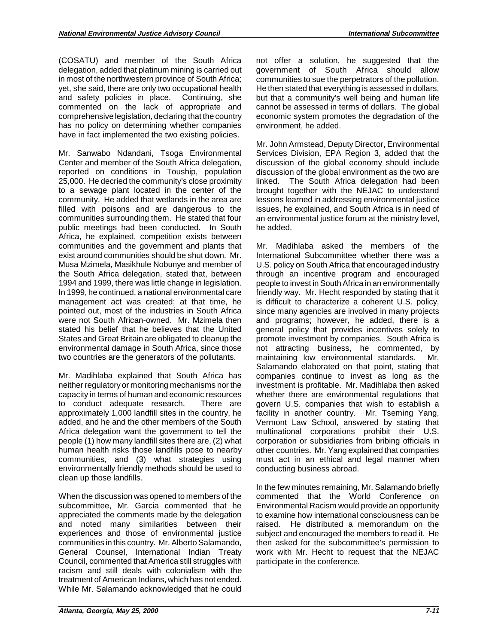in most of the northwestern province of South Africa; and safety policies in place. Continuing, she (COSATU) and member of the South Africa delegation, added that platinum mining is carried out yet, she said, there are only two occupational health commented on the lack of appropriate and comprehensive legislation, declaring that the country has no policy on determining whether companies have in fact implemented the two existing policies.

Mr. Sanwabo Ndandani, Tsoga Environmental Center and member of the South Africa delegation, reported on conditions in Touship, population 25,000. He decried the community's close proximity to a sewage plant located in the center of the community. He added that wetlands in the area are filled with poisons and are dangerous to the communities surrounding them. He stated that four public meetings had been conducted. In South Africa, he explained, competition exists between communities and the government and plants that exist around communities should be shut down. Mr. Musa Mzimela, Masikhule Nobunye and member of the South Africa delegation, stated that, between 1994 and 1999, there was little change in legislation. In 1999, he continued, a national environmental care management act was created; at that time, he pointed out, most of the industries in South Africa were not South African-owned. Mr. Mzimela then stated his belief that he believes that the United States and Great Britain are obligated to cleanup the environmental damage in South Africa, since those two countries are the generators of the pollutants.

Mr. Madihlaba explained that South Africa has neither regulatory or monitoring mechanisms nor the capacity in terms of human and economic resources to conduct adequate research. There are approximately 1,000 landfill sites in the country, he added, and he and the other members of the South Africa delegation want the government to tell the people (1) how many landfill sites there are, (2) what human health risks those landfills pose to nearby communities, and (3) what strategies using environmentally friendly methods should be used to clean up those landfills.

 When the discussion was opened to members of the subcommittee, Mr. Garcia commented that he appreciated the comments made by the delegation and noted many similarities between their experiences and those of environmental justice communities in this country. Mr. Alberto Salamando, General Counsel, International Indian Treaty Council, commented that America still struggles with racism and still deals with colonialism with the treatment of American Indians, which has not ended. While Mr. Salamando acknowledged that he could

 not offer a solution, he suggested that the government of South Africa should allow communities to sue the perpetrators of the pollution. He then stated that everything is assessed in dollars, but that a community's well being and human life cannot be assessed in terms of dollars. The global economic system promotes the degradation of the environment, he added.

Mr. John Armstead, Deputy Director, Environmental Services Division, EPA Region 3, added that the discussion of the global economy should include discussion of the global environment as the two are linked. The South Africa delegation had been brought together with the NEJAC to understand lessons learned in addressing environmental justice issues, he explained, and South Africa is in need of an environmental justice forum at the ministry level, he added.

Mr. Madihlaba asked the members of the International Subcommittee whether there was a U.S. policy on South Africa that encouraged industry through an incentive program and encouraged people to invest in South Africa in an environmentally friendly way. Mr. Hecht responded by stating that it is difficult to characterize a coherent U.S. policy, since many agencies are involved in many projects and programs; however, he added, there is a general policy that provides incentives solely to promote investment by companies. South Africa is not attracting business, he commented, by maintaining low environmental standards. Mr. Salamando elaborated on that point, stating that companies continue to invest as long as the investment is profitable. Mr. Madihlaba then asked whether there are environmental regulations that govern U.S. companies that wish to establish a facility in another country. Mr. Tseming Yang, Vermont Law School, answered by stating that multinational corporations prohibit their U.S. corporation or subsidiaries from bribing officials in other countries. Mr. Yang explained that companies must act in an ethical and legal manner when conducting business abroad.

In the few minutes remaining, Mr. Salamando briefly commented that the World Conference on Environmental Racism would provide an opportunity to examine how international consciousness can be raised. He distributed a memorandum on the subject and encouraged the members to read it. He then asked for the subcommittee's permission to work with Mr. Hecht to request that the NEJAC participate in the conference.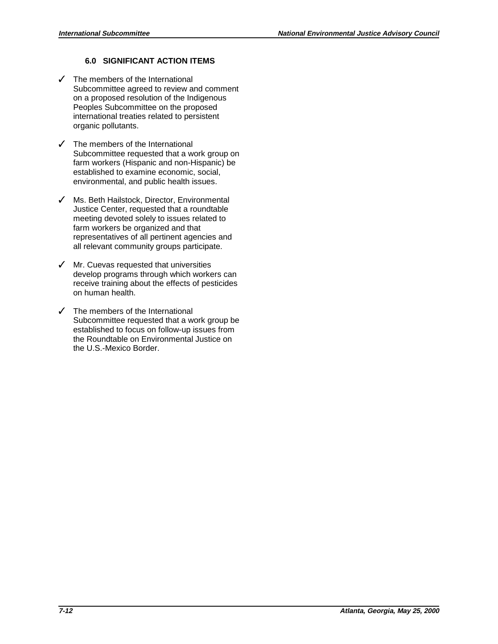# **6.0 SIGNIFICANT ACTION ITEMS**

- $\checkmark$  The members of the International Subcommittee agreed to review and comment on a proposed resolution of the Indigenous Peoples Subcommittee on the proposed international treaties related to persistent organic pollutants.
- $\checkmark$  The members of the International Subcommittee requested that a work group on farm workers (Hispanic and non-Hispanic) be established to examine economic, social, environmental, and public health issues.
- $\checkmark$  Ms. Beth Hailstock, Director, Environmental Justice Center, requested that a roundtable meeting devoted solely to issues related to farm workers be organized and that representatives of all pertinent agencies and all relevant community groups participate.
- $\checkmark$  Mr. Cuevas requested that universities develop programs through which workers can receive training about the effects of pesticides on human health.
- $\checkmark$  The members of the International Subcommittee requested that a work group be established to focus on follow-up issues from the Roundtable on Environmental Justice on the U.S.-Mexico Border.